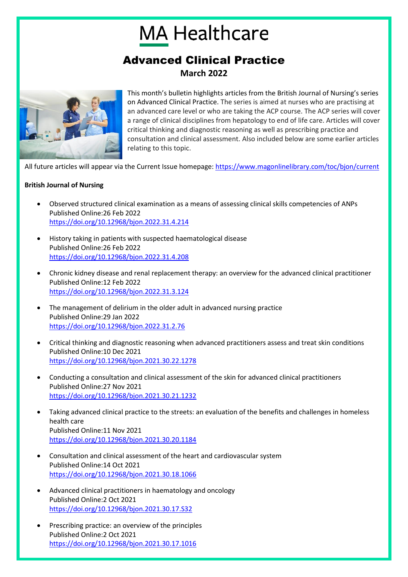## **MA Healthcare**

## Advanced Clinical Practice **March 2022**



This month's bulletin highlights articles from the British Journal of Nursing's series on Advanced Clinical Practice. The series is aimed at nurses who are practising at an advanced care level or who are taking the ACP course. The ACP series will cover a range of clinical disciplines from hepatology to end of life care. Articles will cover critical thinking and diagnostic reasoning as well as prescribing practice and consultation and clinical assessment. Also included below are some earlier articles relating to this topic.

All future articles will appear via the Current Issue homepage:<https://www.magonlinelibrary.com/toc/bjon/current>

## **British Journal of Nursing**

- Observed structured clinical examination as a means of assessing clinical skills competencies of ANPs Published Online:26 Feb 2022 <https://doi.org/10.12968/bjon.2022.31.4.214>
- History taking in patients with suspected haematological disease Published Online:26 Feb 2022 <https://doi.org/10.12968/bjon.2022.31.4.208>
- Chronic kidney disease and renal replacement therapy: an overview for the advanced clinical practitioner Published Online:12 Feb 2022 <https://doi.org/10.12968/bjon.2022.31.3.124>
- The management of delirium in the older adult in advanced nursing practice Published Online:29 Jan 2022 <https://doi.org/10.12968/bjon.2022.31.2.76>
- Critical thinking and diagnostic reasoning when advanced practitioners assess and treat skin conditions Published Online:10 Dec 2021 <https://doi.org/10.12968/bjon.2021.30.22.1278>
- Conducting a consultation and clinical assessment of the skin for advanced clinical practitioners Published Online:27 Nov 2021 <https://doi.org/10.12968/bjon.2021.30.21.1232>
- Taking advanced clinical practice to the streets: an evaluation of the benefits and challenges in homeless health care Published Online:11 Nov 2021 <https://doi.org/10.12968/bjon.2021.30.20.1184>
- Consultation and clinical assessment of the heart and cardiovascular system Published Online:14 Oct 2021 <https://doi.org/10.12968/bjon.2021.30.18.1066>
- Advanced clinical practitioners in haematology and oncology Published Online:2 Oct 2021 <https://doi.org/10.12968/bjon.2021.30.17.S32>
- Prescribing practice: an overview of the principles Published Online:2 Oct 2021 <https://doi.org/10.12968/bjon.2021.30.17.1016>